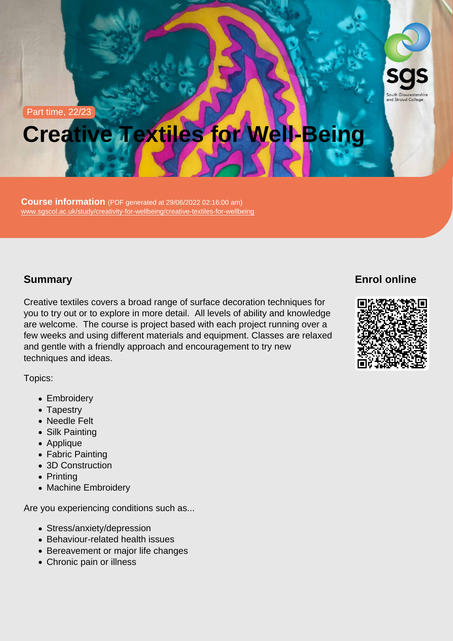Part time, 22/23

# Creative Textiles for Well-Being

Course information (PDF generated at 29/06/2022 02:16:00 am) [www.sgscol.ac.uk/study/creativity-for-wellbeing/creative-textiles-for-wellbeing](https://www.sgscol.ac.uk/study/creativity-for-wellbeing/creative-textiles-for-wellbeing)

# Summary

Creative textiles covers a broad range of surface decoration techniques for you to try out or to explore in more detail. All levels of ability and knowledge are welcome. The course is project based with each project running over a few weeks and using different materials and equipment. Classes are relaxed and gentle with a friendly approach and encouragement to try new techniques and ideas.

Topics:

- Embroidery
- Tapestry
- Needle Felt
- Silk Painting
- Applique
- Fabric Painting
- 3D Construction
- Printing
- Machine Embroidery

Are you experiencing conditions such as...

- Stress/anxiety/depression
- Behaviour-related health issues
- Bereavement or major life changes
- Chronic pain or illness

Enrol online